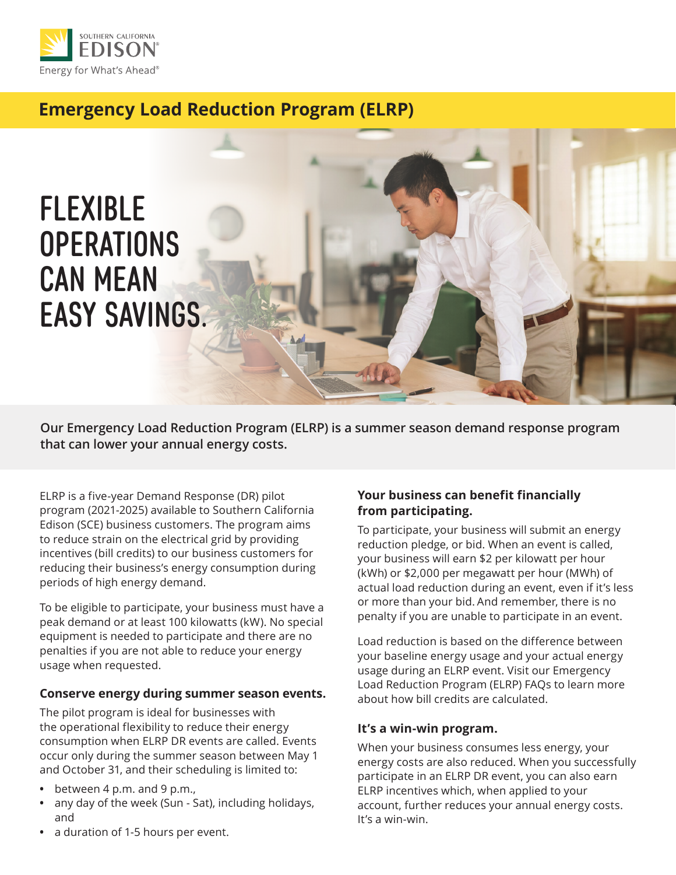

# **Emergency Load Reduction Program (ELRP)**



 **that can lower your annual energy costs. Our Emergency Load Reduction Program (ELRP) is a summer season demand response program** 

ELRP is a five-year Demand Response (DR) pilot program (2021-2025) available to Southern California Edison (SCE) business customers. The program aims to reduce strain on the electrical grid by providing incentives (bill credits) to our business customers for reducing their business's energy consumption during periods of high energy demand.

To be eligible to participate, your business must have a peak demand or at least 100 kilowatts (kW). No special equipment is needed to participate and there are no penalties if you are not able to reduce your energy usage when requested.

#### **Conserve energy during summer season events.**

The pilot program is ideal for businesses with the operational flexibility to reduce their energy consumption when ELRP DR events are called. Events occur only during the summer season between May 1 and October 31, and their scheduling is limited to:

- between 4 p.m. and 9 p.m.,
- any day of the week (Sun Sat), including holidays, and

#### **•** a duration of 1-5 hours per event.

## **Your business can benefit financially from participating.**

To participate, your business will submit an energy reduction pledge, or bid. When an event is called, your business will earn \$2 per kilowatt per hour (kWh) or \$2,000 per megawatt per hour (MWh) of actual load reduction during an event, even if it's less or more than your bid. And remember, there is no penalty if you are unable to participate in an event.

Load reduction is based on the difference between your baseline energy usage and your actual energy usage during an ELRP event. Visit our [Emergency](http://elrp.sce.com/)  [Load Reduction Program \(ELRP\) FAQs](http://elrp.sce.com/) to learn more about how bill credits are calculated.

#### **It's a win-win program.**

When your business consumes less energy, your energy costs are also reduced. When you successfully participate in an ELRP DR event, you can also earn ELRP incentives which, when applied to your account, further reduces your annual energy costs. It's a win-win.